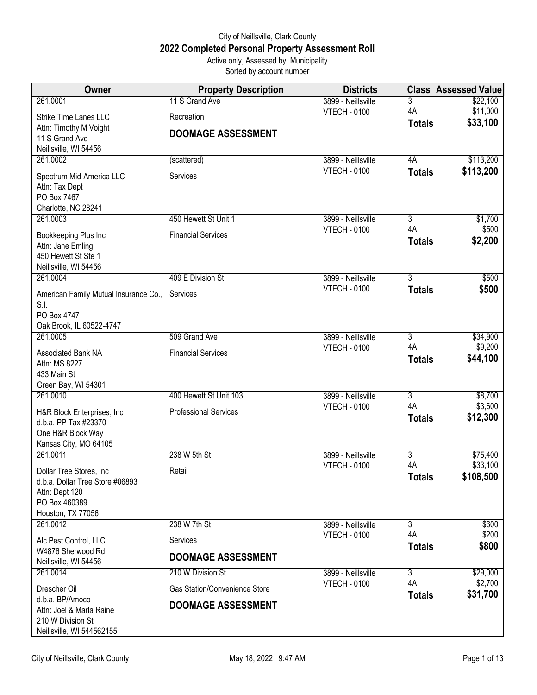## City of Neillsville, Clark County **2022 Completed Personal Property Assessment Roll** Active only, Assessed by: Municipality

Sorted by account number

| Owner                                                       | <b>Property Description</b>   | <b>Districts</b>    | <b>Class</b>        | <b>Assessed Value</b> |
|-------------------------------------------------------------|-------------------------------|---------------------|---------------------|-----------------------|
| 261.0001                                                    | 11 S Grand Ave                | 3899 - Neillsville  | 3                   | \$22,100              |
| <b>Strike Time Lanes LLC</b>                                | Recreation                    | <b>VTECH - 0100</b> | 4A                  | \$11,000              |
| Attn: Timothy M Voight                                      | <b>DOOMAGE ASSESSMENT</b>     |                     | <b>Totals</b>       | \$33,100              |
| 11 S Grand Ave                                              |                               |                     |                     |                       |
| Neillsville, WI 54456<br>261.0002                           | (scattered)                   | 3899 - Neillsville  | 4A                  | \$113,200             |
|                                                             |                               | <b>VTECH - 0100</b> | <b>Totals</b>       | \$113,200             |
| Spectrum Mid-America LLC                                    | Services                      |                     |                     |                       |
| Attn: Tax Dept<br>PO Box 7467                               |                               |                     |                     |                       |
| Charlotte, NC 28241                                         |                               |                     |                     |                       |
| 261.0003                                                    | 450 Hewett St Unit 1          | 3899 - Neillsville  | $\overline{3}$      | \$1,700               |
| Bookkeeping Plus Inc                                        | <b>Financial Services</b>     | <b>VTECH - 0100</b> | 4A                  | \$500                 |
| Attn: Jane Emling                                           |                               |                     | <b>Totals</b>       | \$2,200               |
| 450 Hewett St Ste 1                                         |                               |                     |                     |                       |
| Neillsville, WI 54456                                       |                               |                     |                     |                       |
| 261.0004                                                    | 409 E Division St             | 3899 - Neillsville  | $\overline{3}$      | \$500                 |
| American Family Mutual Insurance Co.,                       | Services                      | <b>VTECH - 0100</b> | <b>Totals</b>       | \$500                 |
| S.I.                                                        |                               |                     |                     |                       |
| PO Box 4747<br>Oak Brook, IL 60522-4747                     |                               |                     |                     |                       |
| 261.0005                                                    | 509 Grand Ave                 | 3899 - Neillsville  | $\overline{3}$      | \$34,900              |
|                                                             | <b>Financial Services</b>     | <b>VTECH - 0100</b> | 4A                  | \$9,200               |
| Associated Bank NA<br>Attn: MS 8227                         |                               |                     | <b>Totals</b>       | \$44,100              |
| 433 Main St                                                 |                               |                     |                     |                       |
| Green Bay, WI 54301                                         |                               |                     |                     |                       |
| 261.0010                                                    | 400 Hewett St Unit 103        | 3899 - Neillsville  | $\overline{3}$      | \$8,700               |
| H&R Block Enterprises, Inc.                                 | <b>Professional Services</b>  | <b>VTECH - 0100</b> | 4A                  | \$3,600               |
| d.b.a. PP Tax #23370                                        |                               |                     | <b>Totals</b>       | \$12,300              |
| One H&R Block Way                                           |                               |                     |                     |                       |
| Kansas City, MO 64105<br>261.0011                           | 238 W 5th St                  | 3899 - Neillsville  | $\overline{3}$      | \$75,400              |
|                                                             |                               | <b>VTECH - 0100</b> | 4A                  | \$33,100              |
| Dollar Tree Stores, Inc.<br>d.b.a. Dollar Tree Store #06893 | Retail                        |                     | <b>Totals</b>       | \$108,500             |
| Attn: Dept 120                                              |                               |                     |                     |                       |
| PO Box 460389                                               |                               |                     |                     |                       |
| Houston, TX 77056                                           |                               |                     |                     |                       |
| 261.0012                                                    | 238 W 7th St                  | 3899 - Neillsville  | $\overline{3}$      | \$600                 |
| Alc Pest Control, LLC                                       | Services                      | <b>VTECH - 0100</b> | 4A<br><b>Totals</b> | \$200<br>\$800        |
| W4876 Sherwood Rd                                           | <b>DOOMAGE ASSESSMENT</b>     |                     |                     |                       |
| Neillsville, WI 54456<br>261.0014                           | 210 W Division St             | 3899 - Neillsville  | $\overline{3}$      | \$29,000              |
|                                                             |                               | <b>VTECH - 0100</b> | 4A                  | \$2,700               |
| Drescher Oil                                                | Gas Station/Convenience Store |                     | <b>Totals</b>       | \$31,700              |
| d.b.a. BP/Amoco<br>Attn: Joel & Marla Raine                 | <b>DOOMAGE ASSESSMENT</b>     |                     |                     |                       |
| 210 W Division St                                           |                               |                     |                     |                       |
| Neillsville, WI 544562155                                   |                               |                     |                     |                       |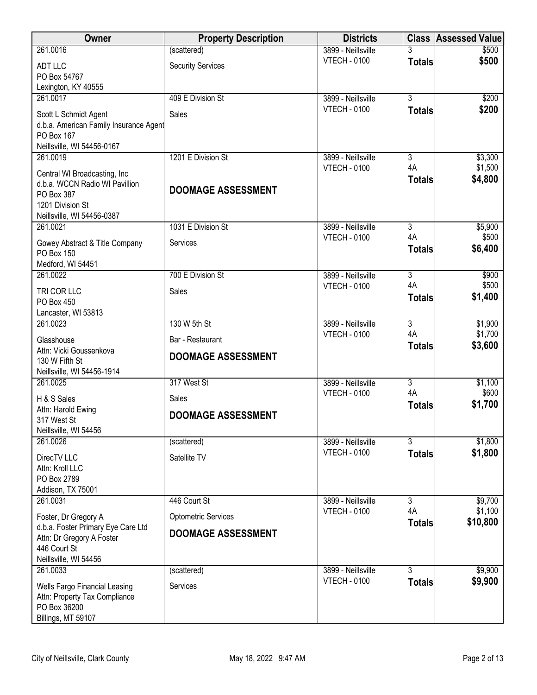| Owner                                                           | <b>Property Description</b> | <b>Districts</b>                          |                           | <b>Class Assessed Value</b> |
|-----------------------------------------------------------------|-----------------------------|-------------------------------------------|---------------------------|-----------------------------|
| 261.0016                                                        | (scattered)                 | 3899 - Neillsville                        |                           | \$500                       |
| <b>ADT LLC</b>                                                  | <b>Security Services</b>    | <b>VTECH - 0100</b>                       | <b>Totals</b>             | \$500                       |
| PO Box 54767<br>Lexington, KY 40555                             |                             |                                           |                           |                             |
| 261.0017                                                        | 409 E Division St           | 3899 - Neillsville                        | $\overline{3}$            | \$200                       |
| Scott L Schmidt Agent                                           | Sales                       | <b>VTECH - 0100</b>                       | <b>Totals</b>             | \$200                       |
| d.b.a. American Family Insurance Agent                          |                             |                                           |                           |                             |
| PO Box 167<br>Neillsville, WI 54456-0167                        |                             |                                           |                           |                             |
| 261.0019                                                        | 1201 E Division St          | 3899 - Neillsville                        | 3                         | \$3,300                     |
| Central WI Broadcasting, Inc                                    |                             | <b>VTECH - 0100</b>                       | 4A                        | \$1,500                     |
| d.b.a. WCCN Radio WI Pavillion                                  | <b>DOOMAGE ASSESSMENT</b>   |                                           | <b>Totals</b>             | \$4,800                     |
| PO Box 387<br>1201 Division St                                  |                             |                                           |                           |                             |
| Neillsville, WI 54456-0387                                      |                             |                                           |                           |                             |
| 261.0021                                                        | 1031 E Division St          | 3899 - Neillsville<br><b>VTECH - 0100</b> | $\overline{3}$<br>4A      | \$5,900<br>\$500            |
| Gowey Abstract & Title Company                                  | Services                    |                                           | <b>Totals</b>             | \$6,400                     |
| <b>PO Box 150</b><br>Medford, WI 54451                          |                             |                                           |                           |                             |
| 261.0022                                                        | 700 E Division St           | 3899 - Neillsville                        | $\overline{3}$            | \$900                       |
| TRI COR LLC                                                     | Sales                       | <b>VTECH - 0100</b>                       | 4A<br><b>Totals</b>       | \$500<br>\$1,400            |
| PO Box 450                                                      |                             |                                           |                           |                             |
| Lancaster, WI 53813<br>261.0023                                 | 130 W 5th St                | 3899 - Neillsville                        | $\overline{3}$            | \$1,900                     |
| Glasshouse                                                      | Bar - Restaurant            | <b>VTECH - 0100</b>                       | 4A                        | \$1,700                     |
| Attn: Vicki Goussenkova                                         | <b>DOOMAGE ASSESSMENT</b>   |                                           | <b>Totals</b>             | \$3,600                     |
| 130 W Fifth St<br>Neillsville, WI 54456-1914                    |                             |                                           |                           |                             |
| 261.0025                                                        | 317 West St                 | 3899 - Neillsville                        | $\overline{\overline{3}}$ | \$1,100                     |
| H & S Sales                                                     | Sales                       | <b>VTECH - 0100</b>                       | 4A                        | \$600                       |
| Attn: Harold Ewing                                              | <b>DOOMAGE ASSESSMENT</b>   |                                           | <b>Totals</b>             | \$1,700                     |
| 317 West St<br>Neillsville, WI 54456                            |                             |                                           |                           |                             |
| 261.0026                                                        | (scattered)                 | 3899 - Neillsville                        | 3                         | \$1,800                     |
| DirecTV LLC                                                     | Satellite TV                | <b>VTECH - 0100</b>                       | <b>Totals</b>             | \$1,800                     |
| Attn: Kroll LLC                                                 |                             |                                           |                           |                             |
| PO Box 2789<br>Addison, TX 75001                                |                             |                                           |                           |                             |
| 261.0031                                                        | 446 Court St                | 3899 - Neillsville                        | 3                         | \$9,700                     |
| Foster, Dr Gregory A                                            | <b>Optometric Services</b>  | <b>VTECH - 0100</b>                       | 4A<br><b>Totals</b>       | \$1,100<br>\$10,800         |
| d.b.a. Foster Primary Eye Care Ltd<br>Attn: Dr Gregory A Foster | <b>DOOMAGE ASSESSMENT</b>   |                                           |                           |                             |
| 446 Court St                                                    |                             |                                           |                           |                             |
| Neillsville, WI 54456                                           |                             |                                           |                           |                             |
| 261.0033                                                        | (scattered)                 | 3899 - Neillsville<br><b>VTECH - 0100</b> | 3<br><b>Totals</b>        | \$9,900<br>\$9,900          |
| Wells Fargo Financial Leasing<br>Attn: Property Tax Compliance  | Services                    |                                           |                           |                             |
| PO Box 36200                                                    |                             |                                           |                           |                             |
| Billings, MT 59107                                              |                             |                                           |                           |                             |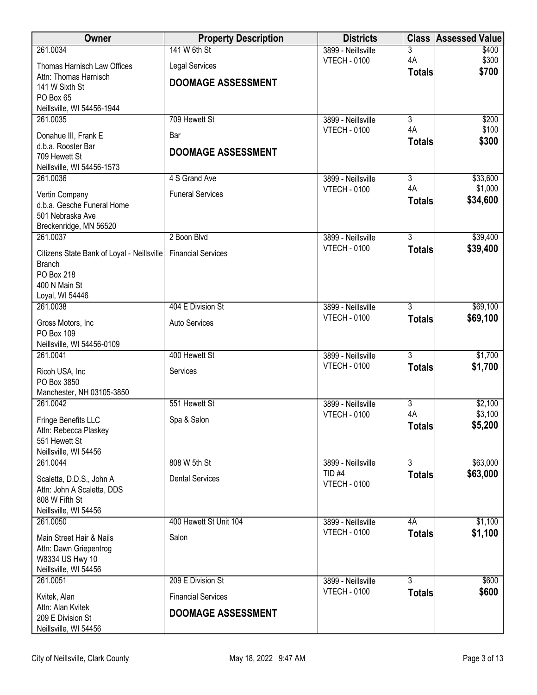| Owner                                      | <b>Property Description</b> | <b>Districts</b>                          | <b>Class</b>        | <b>Assessed Value</b> |
|--------------------------------------------|-----------------------------|-------------------------------------------|---------------------|-----------------------|
| 261.0034                                   | 141 W 6th St                | 3899 - Neillsville                        | 3                   | \$400                 |
| Thomas Harnisch Law Offices                | <b>Legal Services</b>       | <b>VTECH - 0100</b>                       | 4A<br><b>Totals</b> | \$300<br>\$700        |
| Attn: Thomas Harnisch                      | <b>DOOMAGE ASSESSMENT</b>   |                                           |                     |                       |
| 141 W Sixth St<br>PO Box 65                |                             |                                           |                     |                       |
| Neillsville, WI 54456-1944                 |                             |                                           |                     |                       |
| 261.0035                                   | 709 Hewett St               | 3899 - Neillsville                        | $\overline{3}$      | \$200                 |
| Donahue III, Frank E                       | Bar                         | <b>VTECH - 0100</b>                       | 4A<br><b>Totals</b> | \$100<br>\$300        |
| d.b.a. Rooster Bar<br>709 Hewett St        | <b>DOOMAGE ASSESSMENT</b>   |                                           |                     |                       |
| Neillsville, WI 54456-1573                 |                             |                                           |                     |                       |
| 261.0036                                   | 4 S Grand Ave               | 3899 - Neillsville                        | $\overline{3}$      | \$33,600              |
| Vertin Company                             | <b>Funeral Services</b>     | <b>VTECH - 0100</b>                       | 4A                  | \$1,000               |
| d.b.a. Gesche Funeral Home                 |                             |                                           | <b>Totals</b>       | \$34,600              |
| 501 Nebraska Ave<br>Breckenridge, MN 56520 |                             |                                           |                     |                       |
| 261.0037                                   | 2 Boon Blvd                 | 3899 - Neillsville                        | $\overline{3}$      | \$39,400              |
| Citizens State Bank of Loyal - Neillsville | <b>Financial Services</b>   | <b>VTECH - 0100</b>                       | <b>Totals</b>       | \$39,400              |
| <b>Branch</b>                              |                             |                                           |                     |                       |
| <b>PO Box 218</b>                          |                             |                                           |                     |                       |
| 400 N Main St<br>Loyal, WI 54446           |                             |                                           |                     |                       |
| 261.0038                                   | 404 E Division St           | 3899 - Neillsville                        | 3                   | \$69,100              |
| Gross Motors, Inc                          | Auto Services               | <b>VTECH - 0100</b>                       | <b>Totals</b>       | \$69,100              |
| PO Box 109                                 |                             |                                           |                     |                       |
| Neillsville, WI 54456-0109                 |                             |                                           | $\overline{3}$      |                       |
| 261.0041                                   | 400 Hewett St               | 3899 - Neillsville<br><b>VTECH - 0100</b> | <b>Totals</b>       | \$1,700<br>\$1,700    |
| Ricoh USA, Inc<br>PO Box 3850              | Services                    |                                           |                     |                       |
| Manchester, NH 03105-3850                  |                             |                                           |                     |                       |
| 261.0042                                   | 551 Hewett St               | 3899 - Neillsville                        | $\overline{3}$      | \$2,100               |
| Fringe Benefits LLC                        | Spa & Salon                 | <b>VTECH - 0100</b>                       | 4A<br><b>Totals</b> | \$3,100<br>\$5,200    |
| Attn: Rebecca Plaskey                      |                             |                                           |                     |                       |
| 551 Hewett St<br>Neillsville, WI 54456     |                             |                                           |                     |                       |
| 261.0044                                   | 808 W 5th St                | 3899 - Neillsville                        | $\overline{3}$      | \$63,000              |
| Scaletta, D.D.S., John A                   | <b>Dental Services</b>      | $TID$ #4                                  | <b>Totals</b>       | \$63,000              |
| Attn: John A Scaletta, DDS                 |                             | <b>VTECH - 0100</b>                       |                     |                       |
| 808 W Fifth St<br>Neillsville, WI 54456    |                             |                                           |                     |                       |
| 261.0050                                   | 400 Hewett St Unit 104      | 3899 - Neillsville                        | 4A                  | \$1,100               |
| Main Street Hair & Nails                   | Salon                       | <b>VTECH - 0100</b>                       | <b>Totals</b>       | \$1,100               |
| Attn: Dawn Griepentrog                     |                             |                                           |                     |                       |
| W8334 US Hwy 10                            |                             |                                           |                     |                       |
| Neillsville, WI 54456<br>261.0051          | 209 E Division St           | 3899 - Neillsville                        | 3                   | \$600                 |
| Kvitek, Alan                               | <b>Financial Services</b>   | <b>VTECH - 0100</b>                       | <b>Totals</b>       | \$600                 |
| Attn: Alan Kvitek                          |                             |                                           |                     |                       |
| 209 E Division St                          | <b>DOOMAGE ASSESSMENT</b>   |                                           |                     |                       |
| Neillsville, WI 54456                      |                             |                                           |                     |                       |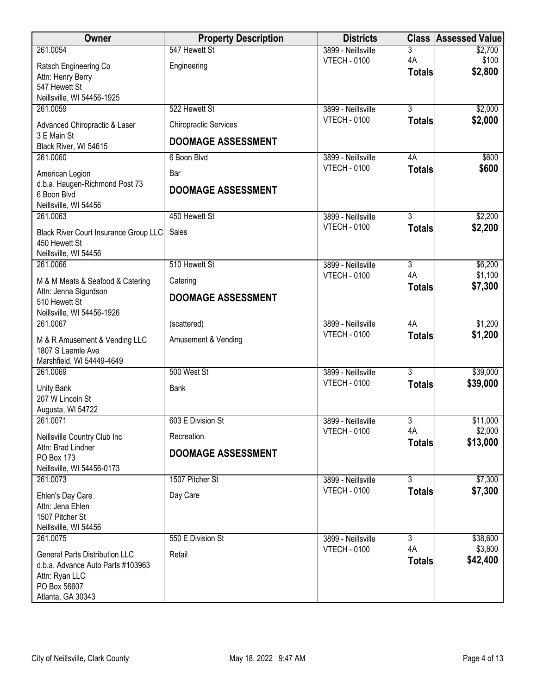| Owner                                                     | <b>Property Description</b>  | <b>Districts</b>                          |                | <b>Class Assessed Value</b> |
|-----------------------------------------------------------|------------------------------|-------------------------------------------|----------------|-----------------------------|
| 261.0054                                                  | 547 Hewett St                | 3899 - Neillsville                        | 3              | \$2,700                     |
| Ratsch Engineering Co                                     | Engineering                  | <b>VTECH - 0100</b>                       | 4A             | \$100<br>\$2,800            |
| Attn: Henry Berry                                         |                              |                                           | <b>Totals</b>  |                             |
| 547 Hewett St                                             |                              |                                           |                |                             |
| Neillsville, WI 54456-1925<br>261.0059                    | 522 Hewett St                | 3899 - Neillsville                        | $\overline{3}$ | \$2,000                     |
|                                                           |                              | <b>VTECH - 0100</b>                       | <b>Totals</b>  | \$2,000                     |
| Advanced Chiropractic & Laser                             | <b>Chiropractic Services</b> |                                           |                |                             |
| 3 E Main St<br>Black River, WI 54615                      | <b>DOOMAGE ASSESSMENT</b>    |                                           |                |                             |
| 261.0060                                                  | 6 Boon Blvd                  | 3899 - Neillsville                        | 4A             | \$600                       |
| American Legion                                           | Bar                          | <b>VTECH - 0100</b>                       | <b>Totals</b>  | \$600                       |
| d.b.a. Haugen-Richmond Post 73                            | <b>DOOMAGE ASSESSMENT</b>    |                                           |                |                             |
| 6 Boon Blvd                                               |                              |                                           |                |                             |
| Neillsville, WI 54456                                     |                              |                                           | $\overline{3}$ |                             |
| 261.0063                                                  | 450 Hewett St                | 3899 - Neillsville<br><b>VTECH - 0100</b> | <b>Totals</b>  | \$2,200<br>\$2,200          |
| <b>Black River Court Insurance Group LLC</b>              | Sales                        |                                           |                |                             |
| 450 Hewett St<br>Neillsville, WI 54456                    |                              |                                           |                |                             |
| 261.0066                                                  | 510 Hewett St                | 3899 - Neillsville                        | $\overline{3}$ | \$6,200                     |
|                                                           |                              | <b>VTECH - 0100</b>                       | 4A             | \$1,100                     |
| M & M Meats & Seafood & Catering<br>Attn: Jenna Sigurdson | Catering                     |                                           | <b>Totals</b>  | \$7,300                     |
| 510 Hewett St                                             | <b>DOOMAGE ASSESSMENT</b>    |                                           |                |                             |
| Neillsville, WI 54456-1926                                |                              |                                           |                |                             |
| 261.0067                                                  | (scattered)                  | 3899 - Neillsville                        | 4A             | \$1,200                     |
| M & R Amusement & Vending LLC                             | Amusement & Vending          | <b>VTECH - 0100</b>                       | <b>Totals</b>  | \$1,200                     |
| 1807 S Laemle Ave                                         |                              |                                           |                |                             |
| Marshfield, WI 54449-4649                                 |                              |                                           |                |                             |
| 261.0069                                                  | 500 West St                  | 3899 - Neillsville                        | $\overline{3}$ | \$39,000                    |
| <b>Unity Bank</b>                                         | <b>Bank</b>                  | <b>VTECH - 0100</b>                       | <b>Totals</b>  | \$39,000                    |
| 207 W Lincoln St                                          |                              |                                           |                |                             |
| Augusta, WI 54722                                         |                              |                                           |                |                             |
| 261.0071                                                  | 603 E Division St            | 3899 - Neillsville<br><b>VTECH - 0100</b> | 3<br>4A        | \$11,000<br>\$2,000         |
| Neillsville Country Club Inc                              | Recreation                   |                                           | <b>Totals</b>  | \$13,000                    |
| Attn: Brad Lindner<br>PO Box 173                          | <b>DOOMAGE ASSESSMENT</b>    |                                           |                |                             |
| Neillsville, WI 54456-0173                                |                              |                                           |                |                             |
| 261.0073                                                  | 1507 Pitcher St              | 3899 - Neillsville                        | $\overline{3}$ | \$7,300                     |
| Ehlen's Day Care                                          | Day Care                     | <b>VTECH - 0100</b>                       | <b>Totals</b>  | \$7,300                     |
| Attn: Jena Ehlen                                          |                              |                                           |                |                             |
| 1507 Pitcher St                                           |                              |                                           |                |                             |
| Neillsville, WI 54456                                     |                              |                                           |                |                             |
| 261.0075                                                  | 550 E Division St            | 3899 - Neillsville                        | $\overline{3}$ | \$38,600                    |
| <b>General Parts Distribution LLC</b>                     | Retail                       | <b>VTECH - 0100</b>                       | 4A             | \$3,800<br>\$42,400         |
| d.b.a. Advance Auto Parts #103963                         |                              |                                           | <b>Totals</b>  |                             |
| Attn: Ryan LLC                                            |                              |                                           |                |                             |
| PO Box 56607<br>Atlanta, GA 30343                         |                              |                                           |                |                             |
|                                                           |                              |                                           |                |                             |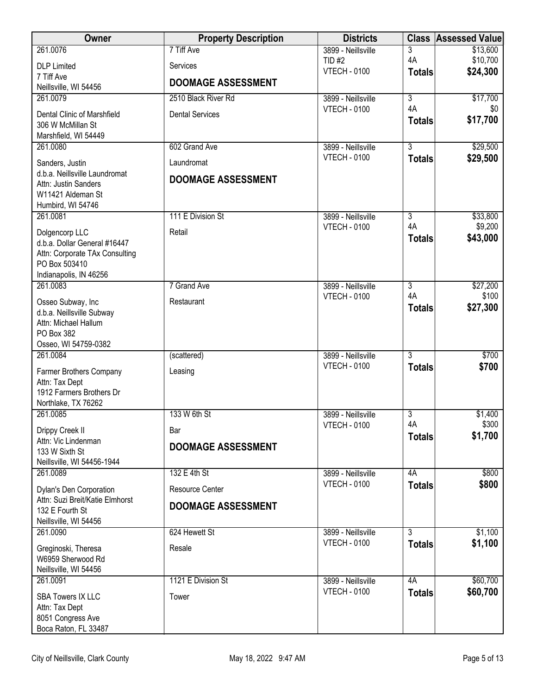| 3<br>\$10,700<br>4A<br>TID #2<br><b>DLP</b> Limited<br>Services<br>\$24,300<br><b>VTECH - 0100</b><br><b>Totals</b><br>7 Tiff Ave<br><b>DOOMAGE ASSESSMENT</b><br>Neillsville, WI 54456<br>$\overline{\overline{3}}$<br>261.0079<br>2510 Black River Rd<br>3899 - Neillsville<br>\$17,700<br>4A<br><b>VTECH - 0100</b><br>\$0<br><b>Dental Services</b><br>Dental Clinic of Marshfield<br>\$17,700<br><b>Totals</b><br>306 W McMillan St<br>Marshfield, WI 54449<br>602 Grand Ave<br>$\overline{3}$<br>\$29,500<br>3899 - Neillsville<br>261.0080<br><b>VTECH - 0100</b><br>\$29,500<br><b>Totals</b><br>Laundromat<br>Sanders, Justin<br>d.b.a. Neillsville Laundromat<br><b>DOOMAGE ASSESSMENT</b><br>Attn: Justin Sanders<br>W11421 Aldeman St<br>Humbird, WI 54746<br>261.0081<br>111 E Division St<br>$\overline{3}$<br>\$33,800<br>3899 - Neillsville<br>\$9,200<br>4A<br><b>VTECH - 0100</b><br>Dolgencorp LLC<br>Retail<br>\$43,000<br><b>Totals</b><br>d.b.a. Dollar General #16447<br>Attn: Corporate TAx Consulting<br>PO Box 503410<br>Indianapolis, IN 46256<br>261.0083<br>7 Grand Ave<br>3<br>\$27,200<br>3899 - Neillsville<br>4A<br>\$100<br><b>VTECH - 0100</b><br>Osseo Subway, Inc<br>Restaurant<br>\$27,300<br><b>Totals</b><br>d.b.a. Neillsville Subway<br>Attn: Michael Hallum<br>PO Box 382<br>Osseo, WI 54759-0382<br>$\overline{3}$<br>\$700<br>261.0084<br>3899 - Neillsville<br>(scattered)<br><b>VTECH - 0100</b><br>\$700<br><b>Totals</b><br>Leasing<br>Farmer Brothers Company<br>Attn: Tax Dept<br>1912 Farmers Brothers Dr<br>Northlake, TX 76262<br>261.0085<br>133 W 6th St<br>3<br>\$1,400<br>3899 - Neillsville<br>\$300<br>4A<br><b>VTECH - 0100</b><br>Drippy Creek II<br>Bar<br>\$1,700<br><b>Totals</b><br>Attn: Vic Lindenman<br><b>DOOMAGE ASSESSMENT</b><br>133 W Sixth St<br>Neillsville, WI 54456-1944<br>132 E 4th St<br>4A<br>\$800<br>261.0089<br>3899 - Neillsville<br><b>VTECH - 0100</b><br>\$800<br><b>Totals</b><br>Resource Center<br>Dylan's Den Corporation<br>Attn: Suzi Breit/Katie Elmhorst<br><b>DOOMAGE ASSESSMENT</b><br>132 E Fourth St<br>Neillsville, WI 54456<br>\$1,100<br>624 Hewett St<br>$\overline{3}$<br>261.0090<br>3899 - Neillsville<br>\$1,100<br><b>VTECH - 0100</b><br><b>Totals</b><br>Resale<br>Greginoski, Theresa<br>W6959 Sherwood Rd<br>Neillsville, WI 54456<br>\$60,700<br>1121 E Division St<br>261.0091<br>3899 - Neillsville<br>4A<br>\$60,700<br><b>VTECH - 0100</b><br><b>Totals</b><br><b>SBA Towers IX LLC</b><br>Tower<br>Attn: Tax Dept<br>8051 Congress Ave | Owner                | <b>Property Description</b> | <b>Districts</b>   | <b>Class Assessed Value</b> |
|----------------------------------------------------------------------------------------------------------------------------------------------------------------------------------------------------------------------------------------------------------------------------------------------------------------------------------------------------------------------------------------------------------------------------------------------------------------------------------------------------------------------------------------------------------------------------------------------------------------------------------------------------------------------------------------------------------------------------------------------------------------------------------------------------------------------------------------------------------------------------------------------------------------------------------------------------------------------------------------------------------------------------------------------------------------------------------------------------------------------------------------------------------------------------------------------------------------------------------------------------------------------------------------------------------------------------------------------------------------------------------------------------------------------------------------------------------------------------------------------------------------------------------------------------------------------------------------------------------------------------------------------------------------------------------------------------------------------------------------------------------------------------------------------------------------------------------------------------------------------------------------------------------------------------------------------------------------------------------------------------------------------------------------------------------------------------------------------------------------------------------------------------------------------------------------------------------------------------------------------------------------------------------------------------------------------------------------------------------------------------------------------------------------------------------------------------------------------------------------------------------------------------------------------------------------|----------------------|-----------------------------|--------------------|-----------------------------|
|                                                                                                                                                                                                                                                                                                                                                                                                                                                                                                                                                                                                                                                                                                                                                                                                                                                                                                                                                                                                                                                                                                                                                                                                                                                                                                                                                                                                                                                                                                                                                                                                                                                                                                                                                                                                                                                                                                                                                                                                                                                                                                                                                                                                                                                                                                                                                                                                                                                                                                                                                                | 261.0076             | 7 Tiff Ave                  | 3899 - Neillsville | \$13,600                    |
|                                                                                                                                                                                                                                                                                                                                                                                                                                                                                                                                                                                                                                                                                                                                                                                                                                                                                                                                                                                                                                                                                                                                                                                                                                                                                                                                                                                                                                                                                                                                                                                                                                                                                                                                                                                                                                                                                                                                                                                                                                                                                                                                                                                                                                                                                                                                                                                                                                                                                                                                                                |                      |                             |                    |                             |
|                                                                                                                                                                                                                                                                                                                                                                                                                                                                                                                                                                                                                                                                                                                                                                                                                                                                                                                                                                                                                                                                                                                                                                                                                                                                                                                                                                                                                                                                                                                                                                                                                                                                                                                                                                                                                                                                                                                                                                                                                                                                                                                                                                                                                                                                                                                                                                                                                                                                                                                                                                |                      |                             |                    |                             |
|                                                                                                                                                                                                                                                                                                                                                                                                                                                                                                                                                                                                                                                                                                                                                                                                                                                                                                                                                                                                                                                                                                                                                                                                                                                                                                                                                                                                                                                                                                                                                                                                                                                                                                                                                                                                                                                                                                                                                                                                                                                                                                                                                                                                                                                                                                                                                                                                                                                                                                                                                                |                      |                             |                    |                             |
|                                                                                                                                                                                                                                                                                                                                                                                                                                                                                                                                                                                                                                                                                                                                                                                                                                                                                                                                                                                                                                                                                                                                                                                                                                                                                                                                                                                                                                                                                                                                                                                                                                                                                                                                                                                                                                                                                                                                                                                                                                                                                                                                                                                                                                                                                                                                                                                                                                                                                                                                                                |                      |                             |                    |                             |
|                                                                                                                                                                                                                                                                                                                                                                                                                                                                                                                                                                                                                                                                                                                                                                                                                                                                                                                                                                                                                                                                                                                                                                                                                                                                                                                                                                                                                                                                                                                                                                                                                                                                                                                                                                                                                                                                                                                                                                                                                                                                                                                                                                                                                                                                                                                                                                                                                                                                                                                                                                |                      |                             |                    |                             |
|                                                                                                                                                                                                                                                                                                                                                                                                                                                                                                                                                                                                                                                                                                                                                                                                                                                                                                                                                                                                                                                                                                                                                                                                                                                                                                                                                                                                                                                                                                                                                                                                                                                                                                                                                                                                                                                                                                                                                                                                                                                                                                                                                                                                                                                                                                                                                                                                                                                                                                                                                                |                      |                             |                    |                             |
|                                                                                                                                                                                                                                                                                                                                                                                                                                                                                                                                                                                                                                                                                                                                                                                                                                                                                                                                                                                                                                                                                                                                                                                                                                                                                                                                                                                                                                                                                                                                                                                                                                                                                                                                                                                                                                                                                                                                                                                                                                                                                                                                                                                                                                                                                                                                                                                                                                                                                                                                                                |                      |                             |                    |                             |
|                                                                                                                                                                                                                                                                                                                                                                                                                                                                                                                                                                                                                                                                                                                                                                                                                                                                                                                                                                                                                                                                                                                                                                                                                                                                                                                                                                                                                                                                                                                                                                                                                                                                                                                                                                                                                                                                                                                                                                                                                                                                                                                                                                                                                                                                                                                                                                                                                                                                                                                                                                |                      |                             |                    |                             |
|                                                                                                                                                                                                                                                                                                                                                                                                                                                                                                                                                                                                                                                                                                                                                                                                                                                                                                                                                                                                                                                                                                                                                                                                                                                                                                                                                                                                                                                                                                                                                                                                                                                                                                                                                                                                                                                                                                                                                                                                                                                                                                                                                                                                                                                                                                                                                                                                                                                                                                                                                                |                      |                             |                    |                             |
|                                                                                                                                                                                                                                                                                                                                                                                                                                                                                                                                                                                                                                                                                                                                                                                                                                                                                                                                                                                                                                                                                                                                                                                                                                                                                                                                                                                                                                                                                                                                                                                                                                                                                                                                                                                                                                                                                                                                                                                                                                                                                                                                                                                                                                                                                                                                                                                                                                                                                                                                                                |                      |                             |                    |                             |
|                                                                                                                                                                                                                                                                                                                                                                                                                                                                                                                                                                                                                                                                                                                                                                                                                                                                                                                                                                                                                                                                                                                                                                                                                                                                                                                                                                                                                                                                                                                                                                                                                                                                                                                                                                                                                                                                                                                                                                                                                                                                                                                                                                                                                                                                                                                                                                                                                                                                                                                                                                |                      |                             |                    |                             |
|                                                                                                                                                                                                                                                                                                                                                                                                                                                                                                                                                                                                                                                                                                                                                                                                                                                                                                                                                                                                                                                                                                                                                                                                                                                                                                                                                                                                                                                                                                                                                                                                                                                                                                                                                                                                                                                                                                                                                                                                                                                                                                                                                                                                                                                                                                                                                                                                                                                                                                                                                                |                      |                             |                    |                             |
|                                                                                                                                                                                                                                                                                                                                                                                                                                                                                                                                                                                                                                                                                                                                                                                                                                                                                                                                                                                                                                                                                                                                                                                                                                                                                                                                                                                                                                                                                                                                                                                                                                                                                                                                                                                                                                                                                                                                                                                                                                                                                                                                                                                                                                                                                                                                                                                                                                                                                                                                                                |                      |                             |                    |                             |
|                                                                                                                                                                                                                                                                                                                                                                                                                                                                                                                                                                                                                                                                                                                                                                                                                                                                                                                                                                                                                                                                                                                                                                                                                                                                                                                                                                                                                                                                                                                                                                                                                                                                                                                                                                                                                                                                                                                                                                                                                                                                                                                                                                                                                                                                                                                                                                                                                                                                                                                                                                |                      |                             |                    |                             |
|                                                                                                                                                                                                                                                                                                                                                                                                                                                                                                                                                                                                                                                                                                                                                                                                                                                                                                                                                                                                                                                                                                                                                                                                                                                                                                                                                                                                                                                                                                                                                                                                                                                                                                                                                                                                                                                                                                                                                                                                                                                                                                                                                                                                                                                                                                                                                                                                                                                                                                                                                                |                      |                             |                    |                             |
|                                                                                                                                                                                                                                                                                                                                                                                                                                                                                                                                                                                                                                                                                                                                                                                                                                                                                                                                                                                                                                                                                                                                                                                                                                                                                                                                                                                                                                                                                                                                                                                                                                                                                                                                                                                                                                                                                                                                                                                                                                                                                                                                                                                                                                                                                                                                                                                                                                                                                                                                                                |                      |                             |                    |                             |
|                                                                                                                                                                                                                                                                                                                                                                                                                                                                                                                                                                                                                                                                                                                                                                                                                                                                                                                                                                                                                                                                                                                                                                                                                                                                                                                                                                                                                                                                                                                                                                                                                                                                                                                                                                                                                                                                                                                                                                                                                                                                                                                                                                                                                                                                                                                                                                                                                                                                                                                                                                |                      |                             |                    |                             |
|                                                                                                                                                                                                                                                                                                                                                                                                                                                                                                                                                                                                                                                                                                                                                                                                                                                                                                                                                                                                                                                                                                                                                                                                                                                                                                                                                                                                                                                                                                                                                                                                                                                                                                                                                                                                                                                                                                                                                                                                                                                                                                                                                                                                                                                                                                                                                                                                                                                                                                                                                                |                      |                             |                    |                             |
|                                                                                                                                                                                                                                                                                                                                                                                                                                                                                                                                                                                                                                                                                                                                                                                                                                                                                                                                                                                                                                                                                                                                                                                                                                                                                                                                                                                                                                                                                                                                                                                                                                                                                                                                                                                                                                                                                                                                                                                                                                                                                                                                                                                                                                                                                                                                                                                                                                                                                                                                                                |                      |                             |                    |                             |
|                                                                                                                                                                                                                                                                                                                                                                                                                                                                                                                                                                                                                                                                                                                                                                                                                                                                                                                                                                                                                                                                                                                                                                                                                                                                                                                                                                                                                                                                                                                                                                                                                                                                                                                                                                                                                                                                                                                                                                                                                                                                                                                                                                                                                                                                                                                                                                                                                                                                                                                                                                |                      |                             |                    |                             |
|                                                                                                                                                                                                                                                                                                                                                                                                                                                                                                                                                                                                                                                                                                                                                                                                                                                                                                                                                                                                                                                                                                                                                                                                                                                                                                                                                                                                                                                                                                                                                                                                                                                                                                                                                                                                                                                                                                                                                                                                                                                                                                                                                                                                                                                                                                                                                                                                                                                                                                                                                                |                      |                             |                    |                             |
|                                                                                                                                                                                                                                                                                                                                                                                                                                                                                                                                                                                                                                                                                                                                                                                                                                                                                                                                                                                                                                                                                                                                                                                                                                                                                                                                                                                                                                                                                                                                                                                                                                                                                                                                                                                                                                                                                                                                                                                                                                                                                                                                                                                                                                                                                                                                                                                                                                                                                                                                                                |                      |                             |                    |                             |
|                                                                                                                                                                                                                                                                                                                                                                                                                                                                                                                                                                                                                                                                                                                                                                                                                                                                                                                                                                                                                                                                                                                                                                                                                                                                                                                                                                                                                                                                                                                                                                                                                                                                                                                                                                                                                                                                                                                                                                                                                                                                                                                                                                                                                                                                                                                                                                                                                                                                                                                                                                |                      |                             |                    |                             |
|                                                                                                                                                                                                                                                                                                                                                                                                                                                                                                                                                                                                                                                                                                                                                                                                                                                                                                                                                                                                                                                                                                                                                                                                                                                                                                                                                                                                                                                                                                                                                                                                                                                                                                                                                                                                                                                                                                                                                                                                                                                                                                                                                                                                                                                                                                                                                                                                                                                                                                                                                                |                      |                             |                    |                             |
|                                                                                                                                                                                                                                                                                                                                                                                                                                                                                                                                                                                                                                                                                                                                                                                                                                                                                                                                                                                                                                                                                                                                                                                                                                                                                                                                                                                                                                                                                                                                                                                                                                                                                                                                                                                                                                                                                                                                                                                                                                                                                                                                                                                                                                                                                                                                                                                                                                                                                                                                                                |                      |                             |                    |                             |
|                                                                                                                                                                                                                                                                                                                                                                                                                                                                                                                                                                                                                                                                                                                                                                                                                                                                                                                                                                                                                                                                                                                                                                                                                                                                                                                                                                                                                                                                                                                                                                                                                                                                                                                                                                                                                                                                                                                                                                                                                                                                                                                                                                                                                                                                                                                                                                                                                                                                                                                                                                |                      |                             |                    |                             |
|                                                                                                                                                                                                                                                                                                                                                                                                                                                                                                                                                                                                                                                                                                                                                                                                                                                                                                                                                                                                                                                                                                                                                                                                                                                                                                                                                                                                                                                                                                                                                                                                                                                                                                                                                                                                                                                                                                                                                                                                                                                                                                                                                                                                                                                                                                                                                                                                                                                                                                                                                                |                      |                             |                    |                             |
|                                                                                                                                                                                                                                                                                                                                                                                                                                                                                                                                                                                                                                                                                                                                                                                                                                                                                                                                                                                                                                                                                                                                                                                                                                                                                                                                                                                                                                                                                                                                                                                                                                                                                                                                                                                                                                                                                                                                                                                                                                                                                                                                                                                                                                                                                                                                                                                                                                                                                                                                                                |                      |                             |                    |                             |
|                                                                                                                                                                                                                                                                                                                                                                                                                                                                                                                                                                                                                                                                                                                                                                                                                                                                                                                                                                                                                                                                                                                                                                                                                                                                                                                                                                                                                                                                                                                                                                                                                                                                                                                                                                                                                                                                                                                                                                                                                                                                                                                                                                                                                                                                                                                                                                                                                                                                                                                                                                |                      |                             |                    |                             |
|                                                                                                                                                                                                                                                                                                                                                                                                                                                                                                                                                                                                                                                                                                                                                                                                                                                                                                                                                                                                                                                                                                                                                                                                                                                                                                                                                                                                                                                                                                                                                                                                                                                                                                                                                                                                                                                                                                                                                                                                                                                                                                                                                                                                                                                                                                                                                                                                                                                                                                                                                                |                      |                             |                    |                             |
|                                                                                                                                                                                                                                                                                                                                                                                                                                                                                                                                                                                                                                                                                                                                                                                                                                                                                                                                                                                                                                                                                                                                                                                                                                                                                                                                                                                                                                                                                                                                                                                                                                                                                                                                                                                                                                                                                                                                                                                                                                                                                                                                                                                                                                                                                                                                                                                                                                                                                                                                                                |                      |                             |                    |                             |
|                                                                                                                                                                                                                                                                                                                                                                                                                                                                                                                                                                                                                                                                                                                                                                                                                                                                                                                                                                                                                                                                                                                                                                                                                                                                                                                                                                                                                                                                                                                                                                                                                                                                                                                                                                                                                                                                                                                                                                                                                                                                                                                                                                                                                                                                                                                                                                                                                                                                                                                                                                |                      |                             |                    |                             |
|                                                                                                                                                                                                                                                                                                                                                                                                                                                                                                                                                                                                                                                                                                                                                                                                                                                                                                                                                                                                                                                                                                                                                                                                                                                                                                                                                                                                                                                                                                                                                                                                                                                                                                                                                                                                                                                                                                                                                                                                                                                                                                                                                                                                                                                                                                                                                                                                                                                                                                                                                                |                      |                             |                    |                             |
|                                                                                                                                                                                                                                                                                                                                                                                                                                                                                                                                                                                                                                                                                                                                                                                                                                                                                                                                                                                                                                                                                                                                                                                                                                                                                                                                                                                                                                                                                                                                                                                                                                                                                                                                                                                                                                                                                                                                                                                                                                                                                                                                                                                                                                                                                                                                                                                                                                                                                                                                                                |                      |                             |                    |                             |
|                                                                                                                                                                                                                                                                                                                                                                                                                                                                                                                                                                                                                                                                                                                                                                                                                                                                                                                                                                                                                                                                                                                                                                                                                                                                                                                                                                                                                                                                                                                                                                                                                                                                                                                                                                                                                                                                                                                                                                                                                                                                                                                                                                                                                                                                                                                                                                                                                                                                                                                                                                |                      |                             |                    |                             |
|                                                                                                                                                                                                                                                                                                                                                                                                                                                                                                                                                                                                                                                                                                                                                                                                                                                                                                                                                                                                                                                                                                                                                                                                                                                                                                                                                                                                                                                                                                                                                                                                                                                                                                                                                                                                                                                                                                                                                                                                                                                                                                                                                                                                                                                                                                                                                                                                                                                                                                                                                                |                      |                             |                    |                             |
|                                                                                                                                                                                                                                                                                                                                                                                                                                                                                                                                                                                                                                                                                                                                                                                                                                                                                                                                                                                                                                                                                                                                                                                                                                                                                                                                                                                                                                                                                                                                                                                                                                                                                                                                                                                                                                                                                                                                                                                                                                                                                                                                                                                                                                                                                                                                                                                                                                                                                                                                                                |                      |                             |                    |                             |
|                                                                                                                                                                                                                                                                                                                                                                                                                                                                                                                                                                                                                                                                                                                                                                                                                                                                                                                                                                                                                                                                                                                                                                                                                                                                                                                                                                                                                                                                                                                                                                                                                                                                                                                                                                                                                                                                                                                                                                                                                                                                                                                                                                                                                                                                                                                                                                                                                                                                                                                                                                |                      |                             |                    |                             |
|                                                                                                                                                                                                                                                                                                                                                                                                                                                                                                                                                                                                                                                                                                                                                                                                                                                                                                                                                                                                                                                                                                                                                                                                                                                                                                                                                                                                                                                                                                                                                                                                                                                                                                                                                                                                                                                                                                                                                                                                                                                                                                                                                                                                                                                                                                                                                                                                                                                                                                                                                                |                      |                             |                    |                             |
|                                                                                                                                                                                                                                                                                                                                                                                                                                                                                                                                                                                                                                                                                                                                                                                                                                                                                                                                                                                                                                                                                                                                                                                                                                                                                                                                                                                                                                                                                                                                                                                                                                                                                                                                                                                                                                                                                                                                                                                                                                                                                                                                                                                                                                                                                                                                                                                                                                                                                                                                                                |                      |                             |                    |                             |
|                                                                                                                                                                                                                                                                                                                                                                                                                                                                                                                                                                                                                                                                                                                                                                                                                                                                                                                                                                                                                                                                                                                                                                                                                                                                                                                                                                                                                                                                                                                                                                                                                                                                                                                                                                                                                                                                                                                                                                                                                                                                                                                                                                                                                                                                                                                                                                                                                                                                                                                                                                | Boca Raton, FL 33487 |                             |                    |                             |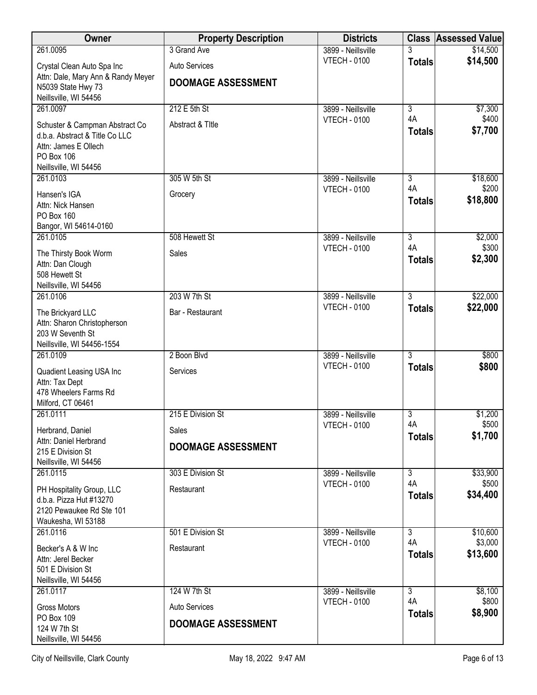| Owner                                                                                                                           | <b>Property Description</b>                       | <b>Districts</b>    |                      | <b>Class Assessed Value</b> |
|---------------------------------------------------------------------------------------------------------------------------------|---------------------------------------------------|---------------------|----------------------|-----------------------------|
| 261.0095                                                                                                                        | 3 Grand Ave                                       | 3899 - Neillsville  |                      | \$14,500                    |
| Crystal Clean Auto Spa Inc                                                                                                      | Auto Services                                     | <b>VTECH - 0100</b> | <b>Totals</b>        | \$14,500                    |
| Attn: Dale, Mary Ann & Randy Meyer<br>N5039 State Hwy 73<br>Neillsville, WI 54456                                               | <b>DOOMAGE ASSESSMENT</b>                         |                     |                      |                             |
| 261.0097                                                                                                                        | 212 E 5th St                                      | 3899 - Neillsville  | $\overline{3}$       | \$7,300                     |
| Schuster & Campman Abstract Co<br>d.b.a. Abstract & Title Co LLC<br>Attn: James E Ollech<br>PO Box 106<br>Neillsville, WI 54456 | Abstract & Title                                  | <b>VTECH - 0100</b> | 4A<br><b>Totals</b>  | \$400<br>\$7,700            |
| 261.0103                                                                                                                        | 305 W 5th St                                      | 3899 - Neillsville  | $\overline{3}$       | \$18,600                    |
| Hansen's IGA<br>Attn: Nick Hansen<br>PO Box 160<br>Bangor, WI 54614-0160                                                        | Grocery                                           | <b>VTECH - 0100</b> | 4A<br><b>Totals</b>  | \$200<br>\$18,800           |
| 261.0105                                                                                                                        | 508 Hewett St                                     | 3899 - Neillsville  | $\overline{3}$       | \$2,000                     |
| The Thirsty Book Worm<br>Attn: Dan Clough<br>508 Hewett St<br>Neillsville, WI 54456                                             | Sales                                             | <b>VTECH - 0100</b> | 4A<br><b>Totals</b>  | \$300<br>\$2,300            |
| 261.0106                                                                                                                        | 203 W 7th St                                      | 3899 - Neillsville  | $\overline{3}$       | \$22,000                    |
| The Brickyard LLC<br>Attn: Sharon Christopherson<br>203 W Seventh St<br>Neillsville, WI 54456-1554                              | Bar - Restaurant                                  | <b>VTECH - 0100</b> | <b>Totals</b>        | \$22,000                    |
| 261.0109                                                                                                                        | 2 Boon Blvd                                       | 3899 - Neillsville  | $\overline{3}$       | \$800                       |
| Quadient Leasing USA Inc<br>Attn: Tax Dept<br>478 Wheelers Farms Rd<br>Milford, CT 06461                                        | Services                                          | <b>VTECH - 0100</b> | <b>Totals</b>        | \$800                       |
| 261.0111                                                                                                                        | 215 E Division St                                 | 3899 - Neillsville  | 3                    | \$1,200                     |
| Herbrand, Daniel                                                                                                                | Sales                                             | <b>VTECH - 0100</b> | 4A<br><b>Totals</b>  | \$500<br>\$1,700            |
| Attn: Daniel Herbrand<br>215 E Division St<br>Neillsville, WI 54456                                                             | <b>DOOMAGE ASSESSMENT</b>                         |                     |                      |                             |
| 261.0115                                                                                                                        | 303 E Division St                                 | 3899 - Neillsville  | $\overline{3}$       | \$33,900                    |
| PH Hospitality Group, LLC<br>d.b.a. Pizza Hut #13270<br>2120 Pewaukee Rd Ste 101<br>Waukesha, WI 53188                          | Restaurant                                        | <b>VTECH - 0100</b> | 4A<br><b>Totals</b>  | \$500<br>\$34,400           |
| 261.0116                                                                                                                        | 501 E Division St                                 | 3899 - Neillsville  | $\overline{3}$       | \$10,600                    |
| Becker's A & W Inc<br>Attn: Jerel Becker<br>501 E Division St<br>Neillsville, WI 54456                                          | Restaurant                                        | <b>VTECH - 0100</b> | 4A<br><b>Totals</b>  | \$3,000<br>\$13,600         |
| 261.0117                                                                                                                        | 124 W 7th St                                      | 3899 - Neillsville  | $\overline{3}$<br>4A | \$8,100                     |
| Gross Motors<br>PO Box 109<br>124 W 7th St                                                                                      | <b>Auto Services</b><br><b>DOOMAGE ASSESSMENT</b> | <b>VTECH - 0100</b> | <b>Totals</b>        | \$800<br>\$8,900            |
| Neillsville, WI 54456                                                                                                           |                                                   |                     |                      |                             |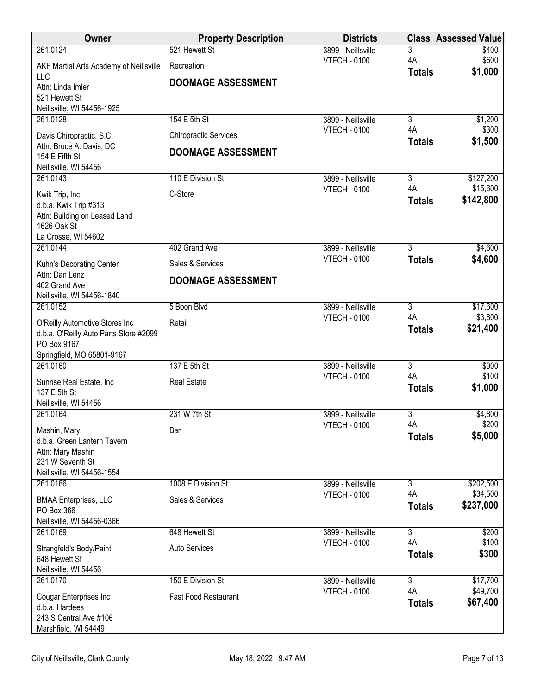| Owner                                        | <b>Property Description</b>  | <b>Districts</b>                          |                      | <b>Class Assessed Value</b> |
|----------------------------------------------|------------------------------|-------------------------------------------|----------------------|-----------------------------|
| 261.0124                                     | 521 Hewett St                | 3899 - Neillsville                        | 3                    | \$400                       |
| AKF Martial Arts Academy of Neillsville      | Recreation                   | <b>VTECH - 0100</b>                       | 4A<br><b>Totals</b>  | \$600<br>\$1,000            |
| <b>LLC</b><br>Attn: Linda Imler              | <b>DOOMAGE ASSESSMENT</b>    |                                           |                      |                             |
| 521 Hewett St                                |                              |                                           |                      |                             |
| Neillsville, WI 54456-1925                   |                              |                                           |                      |                             |
| 261.0128                                     | 154 E 5th St                 | 3899 - Neillsville<br><b>VTECH - 0100</b> | $\overline{3}$<br>4A | \$1,200<br>\$300            |
| Davis Chiropractic, S.C.                     | <b>Chiropractic Services</b> |                                           | <b>Totals</b>        | \$1,500                     |
| Attn: Bruce A. Davis, DC<br>154 E Fifth St   | <b>DOOMAGE ASSESSMENT</b>    |                                           |                      |                             |
| Neillsville, WI 54456                        |                              |                                           |                      |                             |
| 261.0143                                     | 110 E Division St            | 3899 - Neillsville                        | $\overline{3}$       | \$127,200                   |
| Kwik Trip, Inc                               | C-Store                      | <b>VTECH - 0100</b>                       | 4A<br><b>Totals</b>  | \$15,600<br>\$142,800       |
| d.b.a. Kwik Trip #313                        |                              |                                           |                      |                             |
| Attn: Building on Leased Land<br>1626 Oak St |                              |                                           |                      |                             |
| La Crosse, WI 54602                          |                              |                                           |                      |                             |
| 261.0144                                     | 402 Grand Ave                | 3899 - Neillsville                        | $\overline{3}$       | \$4,600                     |
| Kuhn's Decorating Center                     | Sales & Services             | <b>VTECH - 0100</b>                       | <b>Totals</b>        | \$4,600                     |
| Attn: Dan Lenz<br>402 Grand Ave              | <b>DOOMAGE ASSESSMENT</b>    |                                           |                      |                             |
| Neillsville, WI 54456-1840                   |                              |                                           |                      |                             |
| 261.0152                                     | 5 Boon Blvd                  | 3899 - Neillsville                        | $\overline{3}$       | \$17,600                    |
| O'Reilly Automotive Stores Inc               | Retail                       | <b>VTECH - 0100</b>                       | 4A<br><b>Totals</b>  | \$3,800<br>\$21,400         |
| d.b.a. O'Reilly Auto Parts Store #2099       |                              |                                           |                      |                             |
| PO Box 9167<br>Springfield, MO 65801-9167    |                              |                                           |                      |                             |
| 261.0160                                     | 137 E 5th St                 | 3899 - Neillsville                        | $\overline{3}$       | \$900                       |
| Sunrise Real Estate, Inc                     | <b>Real Estate</b>           | <b>VTECH - 0100</b>                       | 4A                   | \$100                       |
| 137 E 5th St                                 |                              |                                           | <b>Totals</b>        | \$1,000                     |
| Neillsville, WI 54456<br>261.0164            | 231 W 7th St                 |                                           | $\overline{3}$       |                             |
|                                              |                              | 3899 - Neillsville<br><b>VTECH - 0100</b> | 4A                   | \$4,800<br>\$200            |
| Mashin, Mary<br>d.b.a. Green Lantern Tavern  | Bar                          |                                           | <b>Totals</b>        | \$5,000                     |
| Attn: Mary Mashin                            |                              |                                           |                      |                             |
| 231 W Seventh St                             |                              |                                           |                      |                             |
| Neillsville, WI 54456-1554<br>261.0166       | 1008 E Division St           | 3899 - Neillsville                        | 3                    | \$202,500                   |
|                                              | Sales & Services             | <b>VTECH - 0100</b>                       | 4A                   | \$34,500                    |
| <b>BMAA Enterprises, LLC</b><br>PO Box 366   |                              |                                           | <b>Totals</b>        | \$237,000                   |
| Neillsville, WI 54456-0366                   |                              |                                           |                      |                             |
| 261.0169                                     | 648 Hewett St                | 3899 - Neillsville                        | $\overline{3}$<br>4A | \$200                       |
| Strangfeld's Body/Paint                      | Auto Services                | <b>VTECH - 0100</b>                       | <b>Totals</b>        | \$100<br>\$300              |
| 648 Hewett St<br>Neillsville, WI 54456       |                              |                                           |                      |                             |
| 261.0170                                     | 150 E Division St            | 3899 - Neillsville                        | $\overline{3}$       | \$17,700                    |
| Cougar Enterprises Inc                       | <b>Fast Food Restaurant</b>  | <b>VTECH - 0100</b>                       | 4A                   | \$49,700                    |
| d.b.a. Hardees                               |                              |                                           | <b>Totals</b>        | \$67,400                    |
| 243 S Central Ave #106                       |                              |                                           |                      |                             |
| Marshfield, WI 54449                         |                              |                                           |                      |                             |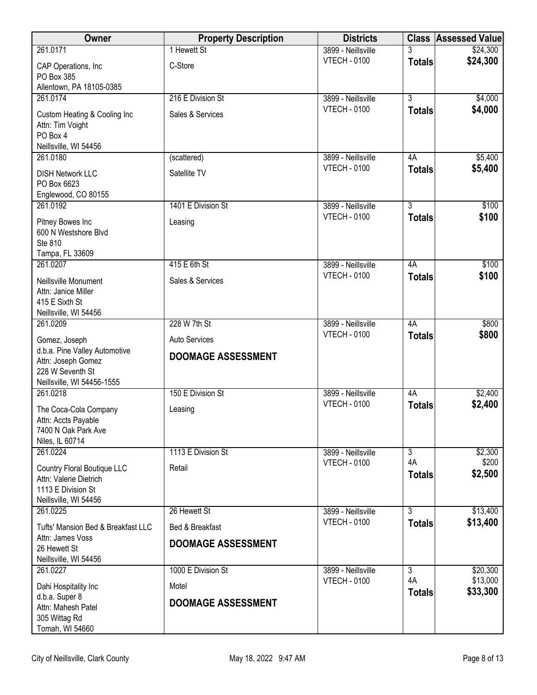| Owner                                                                                                 | <b>Property Description</b>                  | <b>Districts</b>    |                     | <b>Class Assessed Value</b> |
|-------------------------------------------------------------------------------------------------------|----------------------------------------------|---------------------|---------------------|-----------------------------|
| 261.0171                                                                                              | 1 Hewett St                                  | 3899 - Neillsville  | 3                   | \$24,300                    |
| CAP Operations, Inc<br>PO Box 385<br>Allentown, PA 18105-0385                                         | C-Store                                      | <b>VTECH - 0100</b> | <b>Totals</b>       | \$24,300                    |
| 261.0174                                                                                              | 216 E Division St                            | 3899 - Neillsville  | $\overline{3}$      | \$4,000                     |
| Custom Heating & Cooling Inc<br>Attn: Tim Voight<br>PO Box 4<br>Neillsville, WI 54456                 | Sales & Services                             | <b>VTECH - 0100</b> | <b>Totals</b>       | \$4,000                     |
| 261.0180                                                                                              | (scattered)                                  | 3899 - Neillsville  | 4A                  | \$5,400                     |
| <b>DISH Network LLC</b><br>PO Box 6623<br>Englewood, CO 80155                                         | Satellite TV                                 | <b>VTECH - 0100</b> | <b>Totals</b>       | \$5,400                     |
| 261.0192                                                                                              | 1401 E Division St                           | 3899 - Neillsville  | 3                   | \$100                       |
| Pitney Bowes Inc<br>600 N Westshore Blvd<br>Ste 810<br>Tampa, FL 33609                                | Leasing                                      | <b>VTECH - 0100</b> | <b>Totals</b>       | \$100                       |
| 261.0207                                                                                              | 415 E 6th St                                 | 3899 - Neillsville  | 4A                  | \$100                       |
| Neillsville Monument<br>Attn: Janice Miller<br>415 E Sixth St<br>Neillsville, WI 54456                | Sales & Services                             | <b>VTECH - 0100</b> | <b>Totals</b>       | \$100                       |
| 261.0209                                                                                              | 228 W 7th St                                 | 3899 - Neillsville  | 4A                  | \$800                       |
| Gomez, Joseph                                                                                         | <b>Auto Services</b>                         | <b>VTECH - 0100</b> | <b>Totals</b>       | \$800                       |
| d.b.a. Pine Valley Automotive<br>Attn: Joseph Gomez<br>228 W Seventh St<br>Neillsville, WI 54456-1555 | <b>DOOMAGE ASSESSMENT</b>                    |                     |                     |                             |
| 261.0218                                                                                              | 150 E Division St                            | 3899 - Neillsville  | 4A                  | \$2,400                     |
| The Coca-Cola Company<br>Attn: Accts Payable<br>7400 N Oak Park Ave<br>Niles, IL 60714                | Leasing                                      | <b>VTECH - 0100</b> | <b>Totals</b>       | \$2,400                     |
| 261.0224                                                                                              | 1113 E Division St                           | 3899 - Neillsville  | 3                   | \$2,300                     |
| Country Floral Boutique LLC<br>Attn: Valerie Dietrich<br>1113 E Division St<br>Neillsville, WI 54456  | Retail                                       | <b>VTECH - 0100</b> | 4A<br><b>Totals</b> | \$200<br>\$2,500            |
| 261.0225                                                                                              | 26 Hewett St                                 | 3899 - Neillsville  | $\overline{3}$      | \$13,400                    |
| Tufts' Mansion Bed & Breakfast LLC<br>Attn: James Voss<br>26 Hewett St<br>Neillsville, WI 54456       | Bed & Breakfast<br><b>DOOMAGE ASSESSMENT</b> | <b>VTECH - 0100</b> | <b>Totals</b>       | \$13,400                    |
| 261.0227                                                                                              | 1000 E Division St                           | 3899 - Neillsville  | 3                   | \$20,300                    |
| Dahi Hospitality Inc<br>d.b.a. Super 8<br>Attn: Mahesh Patel<br>305 Wittag Rd<br>Tomah, WI 54660      | Motel<br><b>DOOMAGE ASSESSMENT</b>           | <b>VTECH - 0100</b> | 4A<br><b>Totals</b> | \$13,000<br>\$33,300        |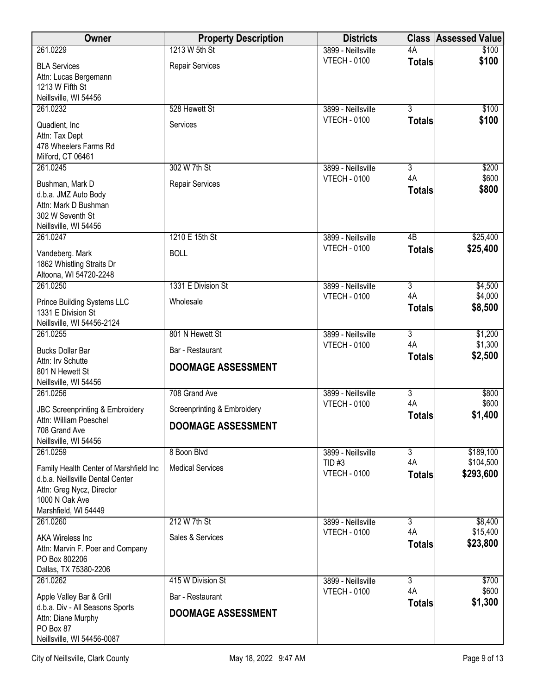| <b>Owner</b>                                                                                                                                      | <b>Property Description</b>                   | <b>Districts</b>                | <b>Class</b>              | <b>Assessed Value</b>  |
|---------------------------------------------------------------------------------------------------------------------------------------------------|-----------------------------------------------|---------------------------------|---------------------------|------------------------|
| 261.0229                                                                                                                                          | 1213 W 5th St                                 | 3899 - Neillsville              | 4A                        | \$100                  |
| <b>BLA Services</b><br>Attn: Lucas Bergemann<br>1213 W Fifth St                                                                                   | Repair Services                               | <b>VTECH - 0100</b>             | <b>Totals</b>             | \$100                  |
| Neillsville, WI 54456<br>261.0232                                                                                                                 | 528 Hewett St                                 | 3899 - Neillsville              | $\overline{3}$            | \$100                  |
| Quadient, Inc.<br>Attn: Tax Dept<br>478 Wheelers Farms Rd                                                                                         | Services                                      | <b>VTECH - 0100</b>             | <b>Totals</b>             | \$100                  |
| Milford, CT 06461<br>261.0245                                                                                                                     | 302 W 7th St                                  | 3899 - Neillsville              | 3                         | \$200                  |
| Bushman, Mark D<br>d.b.a. JMZ Auto Body<br>Attn: Mark D Bushman<br>302 W Seventh St<br>Neillsville, WI 54456                                      | Repair Services                               | <b>VTECH - 0100</b>             | 4A<br><b>Totals</b>       | \$600<br>\$800         |
| 261.0247                                                                                                                                          | 1210 E 15th St                                | 3899 - Neillsville              | $\overline{AB}$           | \$25,400               |
| Vandeberg. Mark<br>1862 Whistling Straits Dr<br>Altoona, WI 54720-2248                                                                            | <b>BOLL</b>                                   | <b>VTECH - 0100</b>             | <b>Totals</b>             | \$25,400               |
| 261.0250                                                                                                                                          | 1331 E Division St                            | 3899 - Neillsville              | $\overline{3}$            | \$4,500                |
| Prince Building Systems LLC<br>1331 E Division St<br>Neillsville, WI 54456-2124                                                                   | Wholesale                                     | <b>VTECH - 0100</b>             | 4A<br><b>Totals</b>       | \$4,000<br>\$8,500     |
| 261.0255                                                                                                                                          | 801 N Hewett St                               | 3899 - Neillsville              | $\overline{3}$            | \$1,200                |
| <b>Bucks Dollar Bar</b><br>Attn: Irv Schutte                                                                                                      | Bar - Restaurant                              | <b>VTECH - 0100</b>             | 4A<br><b>Totals</b>       | \$1,300<br>\$2,500     |
| 801 N Hewett St<br>Neillsville, WI 54456                                                                                                          | <b>DOOMAGE ASSESSMENT</b>                     |                                 |                           |                        |
| 261.0256                                                                                                                                          | 708 Grand Ave                                 | 3899 - Neillsville              | $\overline{\overline{3}}$ | \$800                  |
| JBC Screenprinting & Embroidery                                                                                                                   | Screenprinting & Embroidery                   | <b>VTECH - 0100</b>             | 4A<br><b>Totals</b>       | \$600<br>\$1,400       |
| Attn: William Poeschel<br>708 Grand Ave<br>Neillsville, WI 54456                                                                                  | <b>DOOMAGE ASSESSMENT</b>                     |                                 |                           |                        |
| 261.0259                                                                                                                                          | 8 Boon Blvd                                   | 3899 - Neillsville              | $\overline{3}$            | \$189,100              |
| Family Health Center of Marshfield Inc<br>d.b.a. Neillsville Dental Center<br>Attn: Greg Nycz, Director<br>1000 N Oak Ave<br>Marshfield, WI 54449 | <b>Medical Services</b>                       | $TID$ #3<br><b>VTECH - 0100</b> | 4A<br><b>Totals</b>       | \$104,500<br>\$293,600 |
| 261.0260                                                                                                                                          | 212 W 7th St                                  | 3899 - Neillsville              | $\overline{3}$            | \$8,400                |
| <b>AKA Wireless Inc.</b><br>Attn: Marvin F. Poer and Company<br>PO Box 802206<br>Dallas, TX 75380-2206                                            | Sales & Services                              | <b>VTECH - 0100</b>             | 4A<br><b>Totals</b>       | \$15,400<br>\$23,800   |
| 261.0262                                                                                                                                          | 415 W Division St                             | 3899 - Neillsville              | $\overline{3}$<br>4A      | \$700<br>\$600         |
| Apple Valley Bar & Grill<br>d.b.a. Div - All Seasons Sports                                                                                       | Bar - Restaurant<br><b>DOOMAGE ASSESSMENT</b> | <b>VTECH - 0100</b>             | <b>Totals</b>             | \$1,300                |
| Attn: Diane Murphy<br>PO Box 87<br>Neillsville, WI 54456-0087                                                                                     |                                               |                                 |                           |                        |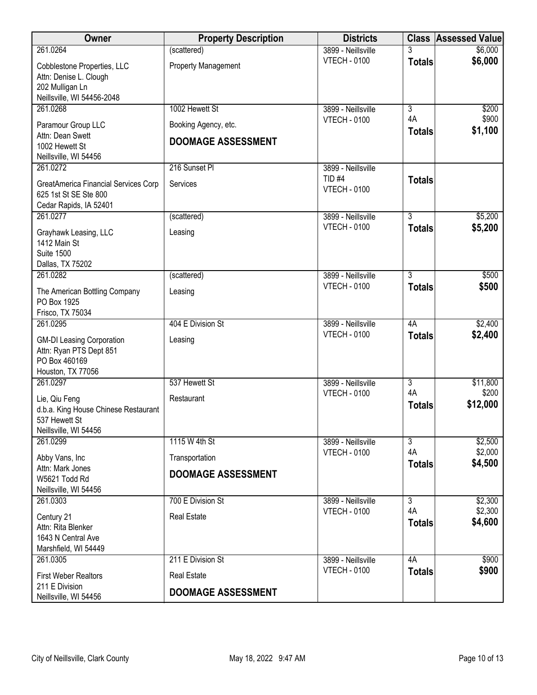| Owner                                                         | <b>Property Description</b> | <b>Districts</b>                          |                      | <b>Class Assessed Value</b> |
|---------------------------------------------------------------|-----------------------------|-------------------------------------------|----------------------|-----------------------------|
| 261.0264                                                      | (scattered)                 | 3899 - Neillsville                        |                      | \$6,000                     |
| Cobblestone Properties, LLC                                   | <b>Property Management</b>  | <b>VTECH - 0100</b>                       | <b>Totals</b>        | \$6,000                     |
| Attn: Denise L. Clough                                        |                             |                                           |                      |                             |
| 202 Mulligan Ln<br>Neillsville, WI 54456-2048                 |                             |                                           |                      |                             |
| 261.0268                                                      | 1002 Hewett St              | 3899 - Neillsville                        | $\overline{3}$       | \$200                       |
| Paramour Group LLC                                            | Booking Agency, etc.        | <b>VTECH - 0100</b>                       | 4A                   | \$900                       |
| Attn: Dean Swett                                              |                             |                                           | <b>Totals</b>        | \$1,100                     |
| 1002 Hewett St                                                | <b>DOOMAGE ASSESSMENT</b>   |                                           |                      |                             |
| Neillsville, WI 54456<br>261.0272                             | 216 Sunset PI               | 3899 - Neillsville                        |                      |                             |
|                                                               |                             | <b>TID #4</b>                             | <b>Totals</b>        |                             |
| GreatAmerica Financial Services Corp<br>625 1st St SE Ste 800 | Services                    | <b>VTECH - 0100</b>                       |                      |                             |
| Cedar Rapids, IA 52401                                        |                             |                                           |                      |                             |
| 261.0277                                                      | (scattered)                 | 3899 - Neillsville                        | $\overline{3}$       | \$5,200                     |
| Grayhawk Leasing, LLC                                         | Leasing                     | <b>VTECH - 0100</b>                       | <b>Totals</b>        | \$5,200                     |
| 1412 Main St                                                  |                             |                                           |                      |                             |
| <b>Suite 1500</b>                                             |                             |                                           |                      |                             |
| Dallas, TX 75202<br>261.0282                                  | (scattered)                 | 3899 - Neillsville                        | 3                    | \$500                       |
|                                                               |                             | <b>VTECH - 0100</b>                       | <b>Totals</b>        | \$500                       |
| The American Bottling Company<br>PO Box 1925                  | Leasing                     |                                           |                      |                             |
| Frisco, TX 75034                                              |                             |                                           |                      |                             |
| 261.0295                                                      | 404 E Division St           | 3899 - Neillsville                        | 4A                   | \$2,400                     |
| <b>GM-DI Leasing Corporation</b>                              | Leasing                     | <b>VTECH - 0100</b>                       | <b>Totals</b>        | \$2,400                     |
| Attn: Ryan PTS Dept 851                                       |                             |                                           |                      |                             |
| PO Box 460169<br>Houston, TX 77056                            |                             |                                           |                      |                             |
| 261.0297                                                      | 537 Hewett St               | 3899 - Neillsville                        | $\overline{3}$       | \$11,800                    |
| Lie, Qiu Feng                                                 | Restaurant                  | <b>VTECH - 0100</b>                       | 4A                   | \$200                       |
| d.b.a. King House Chinese Restaurant                          |                             |                                           | <b>Totals</b>        | \$12,000                    |
| 537 Hewett St                                                 |                             |                                           |                      |                             |
| Neillsville, WI 54456                                         |                             |                                           |                      |                             |
| 261.0299                                                      | 1115 W 4th St               | 3899 - Neillsville<br><b>VTECH - 0100</b> | $\overline{3}$<br>4A | \$2,500<br>\$2,000          |
| Abby Vans, Inc                                                | Transportation              |                                           | <b>Totals</b>        | \$4,500                     |
| Attn: Mark Jones<br>W5621 Todd Rd                             | <b>DOOMAGE ASSESSMENT</b>   |                                           |                      |                             |
| Neillsville, WI 54456                                         |                             |                                           |                      |                             |
| 261.0303                                                      | 700 E Division St           | 3899 - Neillsville                        | $\overline{3}$       | \$2,300                     |
| Century 21                                                    | <b>Real Estate</b>          | <b>VTECH - 0100</b>                       | 4A                   | \$2,300<br>\$4,600          |
| Attn: Rita Blenker                                            |                             |                                           | <b>Totals</b>        |                             |
| 1643 N Central Ave<br>Marshfield, WI 54449                    |                             |                                           |                      |                             |
| 261.0305                                                      | 211 E Division St           | 3899 - Neillsville                        | 4A                   | \$900                       |
| <b>First Weber Realtors</b>                                   | <b>Real Estate</b>          | <b>VTECH - 0100</b>                       | <b>Totals</b>        | \$900                       |
| 211 E Division                                                |                             |                                           |                      |                             |
| Neillsville, WI 54456                                         | <b>DOOMAGE ASSESSMENT</b>   |                                           |                      |                             |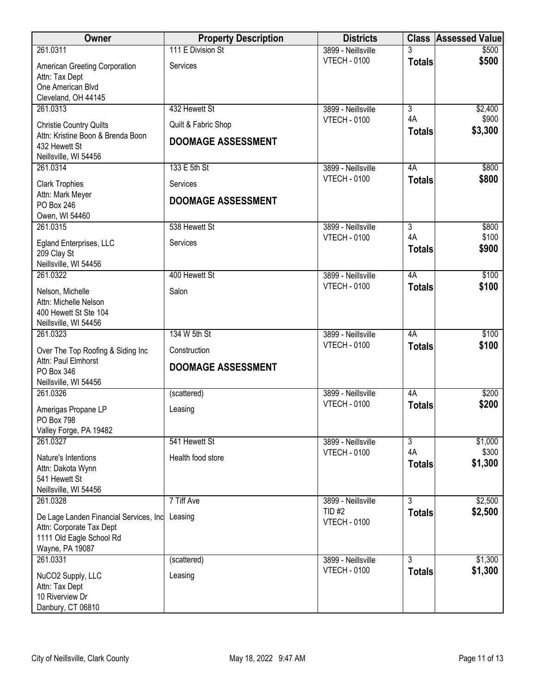| Owner                                                                                                             | <b>Property Description</b> | <b>Districts</b>              |                     | <b>Class Assessed Value</b> |
|-------------------------------------------------------------------------------------------------------------------|-----------------------------|-------------------------------|---------------------|-----------------------------|
| 261.0311                                                                                                          | 111 E Division St           | 3899 - Neillsville            |                     | \$500                       |
| American Greeting Corporation<br>Attn: Tax Dept<br>One American Blvd<br>Cleveland, OH 44145                       | Services                    | <b>VTECH - 0100</b>           | <b>Totals</b>       | \$500                       |
| 261.0313                                                                                                          | 432 Hewett St               | 3899 - Neillsville            | $\overline{3}$      | \$2,400                     |
| <b>Christie Country Quilts</b><br>Attn: Kristine Boon & Brenda Boon                                               | Quilt & Fabric Shop         | <b>VTECH - 0100</b>           | 4A<br><b>Totals</b> | \$900<br>\$3,300            |
| 432 Hewett St<br>Neillsville, WI 54456                                                                            | <b>DOOMAGE ASSESSMENT</b>   |                               |                     |                             |
| 261.0314                                                                                                          | 133 E 5th St                | 3899 - Neillsville            | 4A                  | \$800                       |
| <b>Clark Trophies</b>                                                                                             | Services                    | <b>VTECH - 0100</b>           | <b>Totals</b>       | \$800                       |
| Attn: Mark Meyer<br>PO Box 246<br>Owen, WI 54460                                                                  | <b>DOOMAGE ASSESSMENT</b>   |                               |                     |                             |
| 261.0315                                                                                                          | 538 Hewett St               | 3899 - Neillsville            | $\overline{3}$      | \$800                       |
| Egland Enterprises, LLC<br>209 Clay St<br>Neillsville, WI 54456                                                   | Services                    | <b>VTECH - 0100</b>           | 4A<br><b>Totals</b> | \$100<br>\$900              |
| 261.0322                                                                                                          | 400 Hewett St               | 3899 - Neillsville            | 4A                  | \$100                       |
| Nelson, Michelle<br>Attn: Michelle Nelson<br>400 Hewett St Ste 104<br>Neillsville, WI 54456                       | Salon                       | <b>VTECH - 0100</b>           | <b>Totals</b>       | \$100                       |
| 261.0323                                                                                                          | 134 W 5th St                | 3899 - Neillsville            | 4A                  | \$100                       |
| Over The Top Roofing & Siding Inc<br>Attn: Paul Elmhorst                                                          | Construction                | <b>VTECH - 0100</b>           | <b>Totals</b>       | \$100                       |
| PO Box 346<br>Neillsville, WI 54456                                                                               | <b>DOOMAGE ASSESSMENT</b>   |                               |                     |                             |
| 261.0326                                                                                                          | (scattered)                 | 3899 - Neillsville            | 4A                  | \$200                       |
| Amerigas Propane LP                                                                                               | Leasing                     | <b>VTECH - 0100</b>           | <b>Totals</b>       | \$200                       |
| PO Box 798<br>Valley Forge, PA 19482                                                                              |                             |                               |                     |                             |
| 261.0327                                                                                                          | 541 Hewett St               | 3899 - Neillsville            | $\overline{3}$      | \$1,000                     |
| Nature's Intentions                                                                                               | Health food store           | <b>VTECH - 0100</b>           | 4A<br><b>Totals</b> | \$300<br>\$1,300            |
| Attn: Dakota Wynn<br>541 Hewett St                                                                                |                             |                               |                     |                             |
| Neillsville, WI 54456                                                                                             |                             |                               |                     |                             |
| 261.0328                                                                                                          | 7 Tiff Ave                  | 3899 - Neillsville            | $\overline{3}$      | \$2,500                     |
| De Lage Landen Financial Services, Inc<br>Attn: Corporate Tax Dept<br>1111 Old Eagle School Rd<br>Wayne, PA 19087 | Leasing                     | TID #2<br><b>VTECH - 0100</b> | <b>Totals</b>       | \$2,500                     |
| 261.0331                                                                                                          | (scattered)                 | 3899 - Neillsville            | $\overline{3}$      | \$1,300                     |
| NuCO2 Supply, LLC<br>Attn: Tax Dept<br>10 Riverview Dr<br>Danbury, CT 06810                                       | Leasing                     | <b>VTECH - 0100</b>           | <b>Totals</b>       | \$1,300                     |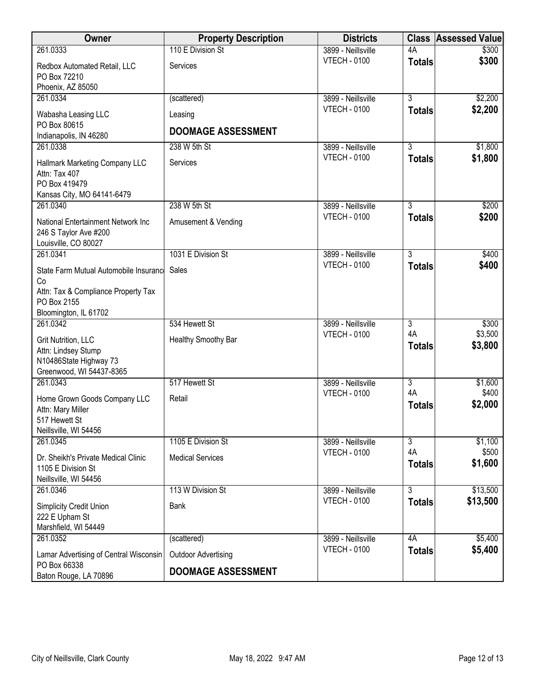| <b>Owner</b>                                                                                     | <b>Property Description</b> | <b>Districts</b>    | <b>Class</b>        | <b>Assessed Value</b> |
|--------------------------------------------------------------------------------------------------|-----------------------------|---------------------|---------------------|-----------------------|
| 261.0333                                                                                         | 110 E Division St           | 3899 - Neillsville  | 4A                  | \$300                 |
| Redbox Automated Retail, LLC<br>PO Box 72210<br>Phoenix, AZ 85050                                | Services                    | <b>VTECH - 0100</b> | <b>Totals</b>       | \$300                 |
| 261.0334                                                                                         | (scattered)                 | 3899 - Neillsville  | $\overline{3}$      | \$2,200               |
| Wabasha Leasing LLC<br>PO Box 80615                                                              | Leasing                     | <b>VTECH - 0100</b> | <b>Totals</b>       | \$2,200               |
| Indianapolis, IN 46280                                                                           | <b>DOOMAGE ASSESSMENT</b>   |                     |                     |                       |
| 261.0338                                                                                         | 238 W 5th St                | 3899 - Neillsville  | $\overline{3}$      | \$1,800               |
| Hallmark Marketing Company LLC<br>Attn: Tax 407<br>PO Box 419479<br>Kansas City, MO 64141-6479   | Services                    | <b>VTECH - 0100</b> | <b>Totals</b>       | \$1,800               |
| 261.0340                                                                                         | 238 W 5th St                | 3899 - Neillsville  | $\overline{3}$      | \$200                 |
| National Entertainment Network Inc<br>246 S Taylor Ave #200<br>Louisville, CO 80027              | Amusement & Vending         | <b>VTECH - 0100</b> | <b>Totals</b>       | \$200                 |
| 261.0341                                                                                         | 1031 E Division St          | 3899 - Neillsville  | $\overline{3}$      | \$400                 |
| State Farm Mutual Automobile Insurance<br>Co                                                     | Sales                       | <b>VTECH - 0100</b> | <b>Totals</b>       | \$400                 |
| Attn: Tax & Compliance Property Tax<br>PO Box 2155<br>Bloomington, IL 61702                      |                             |                     |                     |                       |
| 261.0342                                                                                         | 534 Hewett St               | 3899 - Neillsville  | 3                   | \$300                 |
| Grit Nutrition, LLC<br>Attn: Lindsey Stump<br>N10486State Highway 73<br>Greenwood, WI 54437-8365 | Healthy Smoothy Bar         | <b>VTECH - 0100</b> | 4A<br><b>Totals</b> | \$3,500<br>\$3,800    |
| 261.0343                                                                                         | 517 Hewett St               | 3899 - Neillsville  | $\overline{3}$      | \$1,600               |
| Home Grown Goods Company LLC<br>Attn: Mary Miller<br>517 Hewett St<br>Neillsville, WI 54456      | Retail                      | <b>VTECH - 0100</b> | 4A<br><b>Totals</b> | \$400<br>\$2,000      |
| 261.0345                                                                                         | 1105 E Division St          | 3899 - Neillsville  | $\overline{3}$      | \$1,100               |
| Dr. Sheikh's Private Medical Clinic<br>1105 E Division St<br>Neillsville, WI 54456               | <b>Medical Services</b>     | <b>VTECH - 0100</b> | 4A<br><b>Totals</b> | \$500<br>\$1,600      |
| 261.0346                                                                                         | 113 W Division St           | 3899 - Neillsville  | $\overline{3}$      | \$13,500              |
| <b>Simplicity Credit Union</b><br>222 E Upham St<br>Marshfield, WI 54449                         | Bank                        | <b>VTECH - 0100</b> | <b>Totals</b>       | \$13,500              |
| 261.0352                                                                                         | (scattered)                 | 3899 - Neillsville  | 4A                  | \$5,400               |
| Lamar Advertising of Central Wisconsin                                                           | <b>Outdoor Advertising</b>  | <b>VTECH - 0100</b> | <b>Totals</b>       | \$5,400               |
| PO Box 66338<br>Baton Rouge, LA 70896                                                            | <b>DOOMAGE ASSESSMENT</b>   |                     |                     |                       |